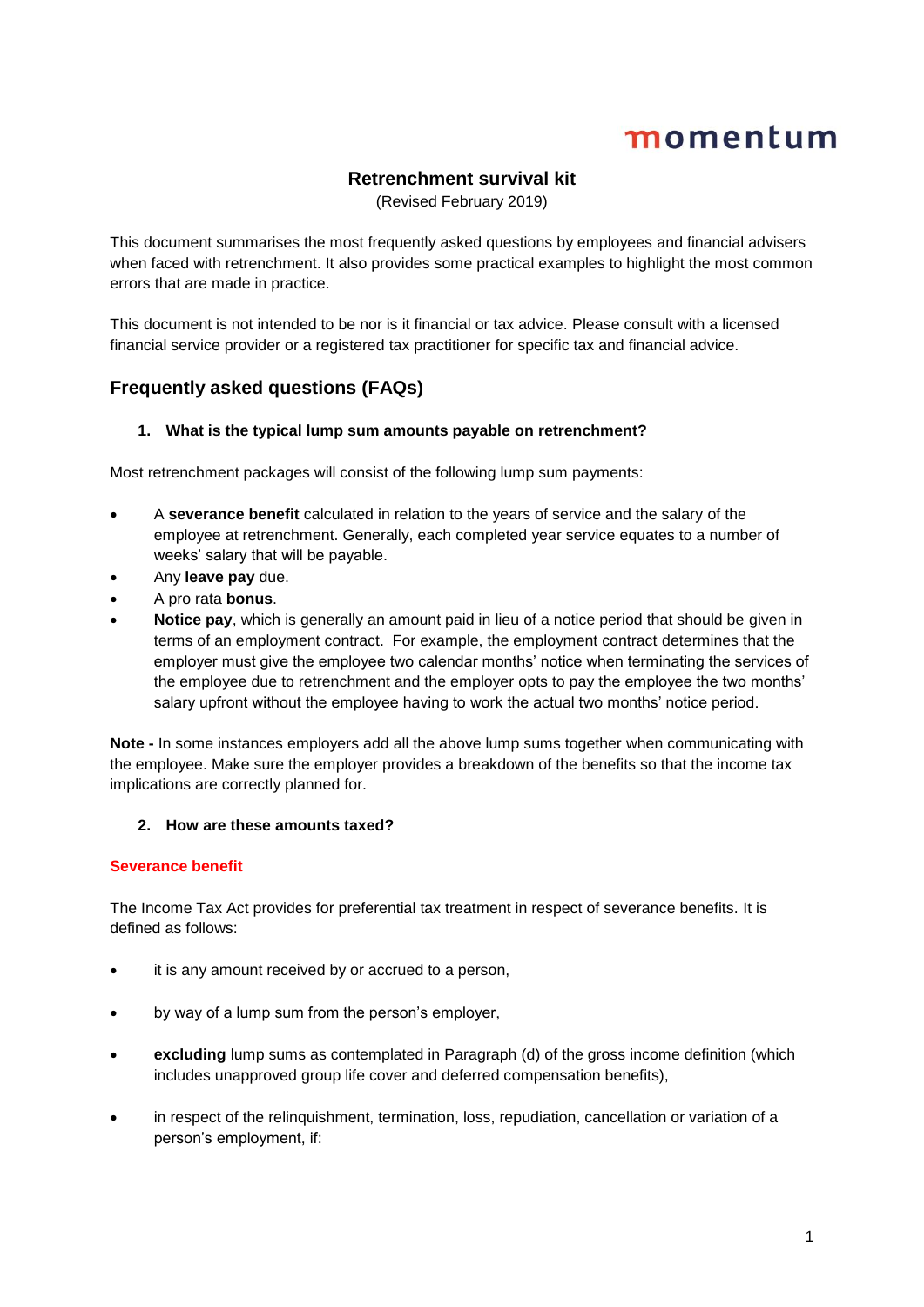## **Retrenchment survival kit**

(Revised February 2019)

This document summarises the most frequently asked questions by employees and financial advisers when faced with retrenchment. It also provides some practical examples to highlight the most common errors that are made in practice.

This document is not intended to be nor is it financial or tax advice. Please consult with a licensed financial service provider or a registered tax practitioner for specific tax and financial advice.

## **Frequently asked questions (FAQs)**

## **1. What is the typical lump sum amounts payable on retrenchment?**

Most retrenchment packages will consist of the following lump sum payments:

- A **severance benefit** calculated in relation to the years of service and the salary of the employee at retrenchment. Generally, each completed year service equates to a number of weeks' salary that will be payable.
- Any **leave pay** due.
- A pro rata **bonus**.
- **Notice pay**, which is generally an amount paid in lieu of a notice period that should be given in terms of an employment contract. For example, the employment contract determines that the employer must give the employee two calendar months' notice when terminating the services of the employee due to retrenchment and the employer opts to pay the employee the two months' salary upfront without the employee having to work the actual two months' notice period.

**Note -** In some instances employers add all the above lump sums together when communicating with the employee. Make sure the employer provides a breakdown of the benefits so that the income tax implications are correctly planned for.

### **2. How are these amounts taxed?**

### **Severance benefit**

The Income Tax Act provides for preferential tax treatment in respect of severance benefits. It is defined as follows:

- it is any amount received by or accrued to a person,
- by way of a lump sum from the person's employer,
- **excluding** lump sums as contemplated in Paragraph (d) of the gross income definition (which includes unapproved group life cover and deferred compensation benefits),
- in respect of the relinquishment, termination, loss, repudiation, cancellation or variation of a person's employment, if: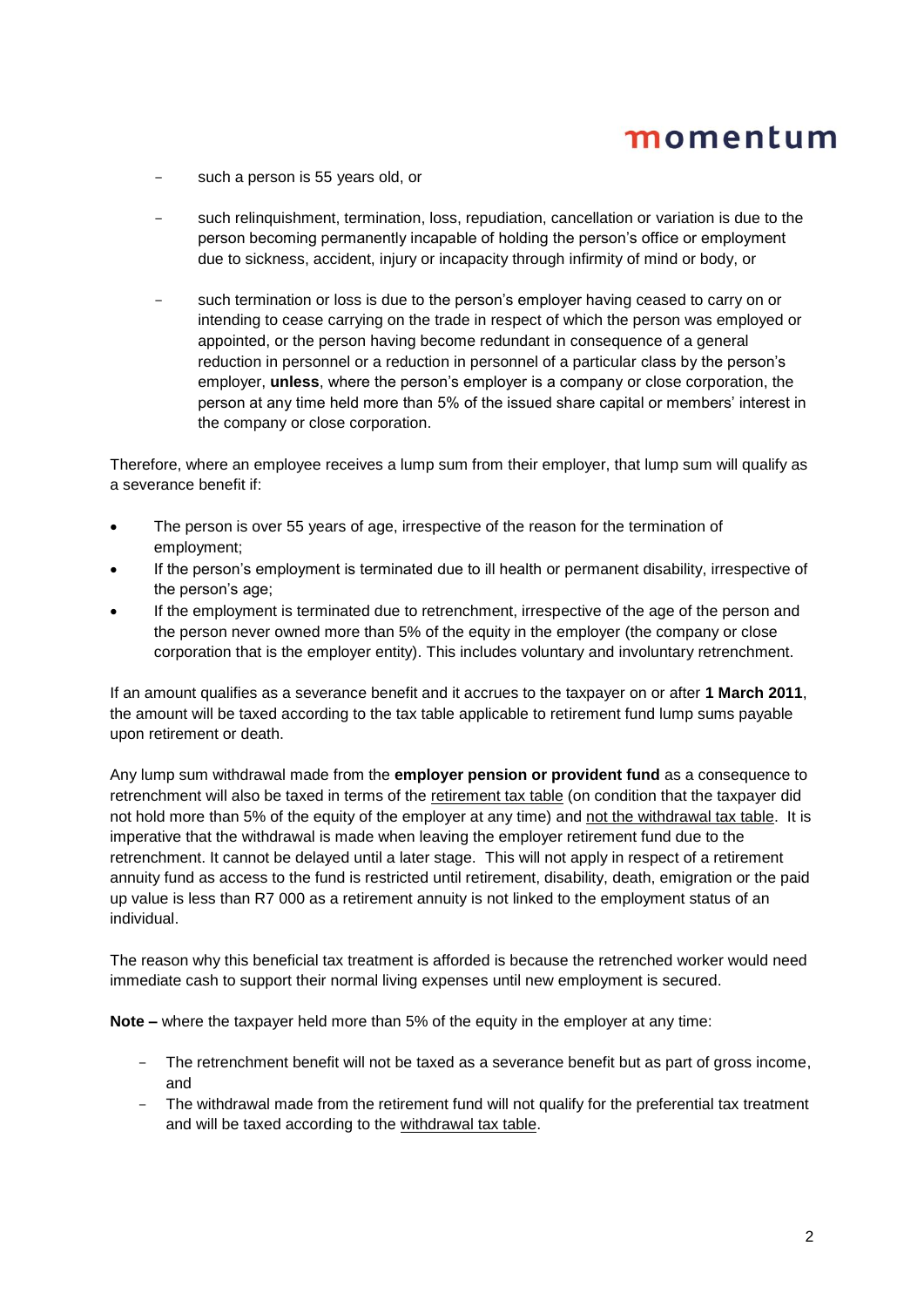- such a person is 55 years old, or
- such relinquishment, termination, loss, repudiation, cancellation or variation is due to the person becoming permanently incapable of holding the person's office or employment due to sickness, accident, injury or incapacity through infirmity of mind or body, or
- such termination or loss is due to the person's employer having ceased to carry on or intending to cease carrying on the trade in respect of which the person was employed or appointed, or the person having become redundant in consequence of a general reduction in personnel or a reduction in personnel of a particular class by the person's employer, **unless**, where the person's employer is a company or close corporation, the person at any time held more than 5% of the issued share capital or members' interest in the company or close corporation.

Therefore, where an employee receives a lump sum from their employer, that lump sum will qualify as a severance benefit if:

- The person is over 55 years of age, irrespective of the reason for the termination of employment;
- If the person's employment is terminated due to ill health or permanent disability, irrespective of the person's age;
- If the employment is terminated due to retrenchment, irrespective of the age of the person and the person never owned more than 5% of the equity in the employer (the company or close corporation that is the employer entity). This includes voluntary and involuntary retrenchment.

If an amount qualifies as a severance benefit and it accrues to the taxpayer on or after **1 March 2011**, the amount will be taxed according to the tax table applicable to retirement fund lump sums payable upon retirement or death.

Any lump sum withdrawal made from the **employer pension or provident fund** as a consequence to retrenchment will also be taxed in terms of the retirement tax table (on condition that the taxpayer did not hold more than 5% of the equity of the employer at any time) and not the withdrawal tax table. It is imperative that the withdrawal is made when leaving the employer retirement fund due to the retrenchment. It cannot be delayed until a later stage. This will not apply in respect of a retirement annuity fund as access to the fund is restricted until retirement, disability, death, emigration or the paid up value is less than R7 000 as a retirement annuity is not linked to the employment status of an individual.

The reason why this beneficial tax treatment is afforded is because the retrenched worker would need immediate cash to support their normal living expenses until new employment is secured.

**Note –** where the taxpayer held more than 5% of the equity in the employer at any time:

- The retrenchment benefit will not be taxed as a severance benefit but as part of gross income, and
- The withdrawal made from the retirement fund will not qualify for the preferential tax treatment and will be taxed according to the withdrawal tax table.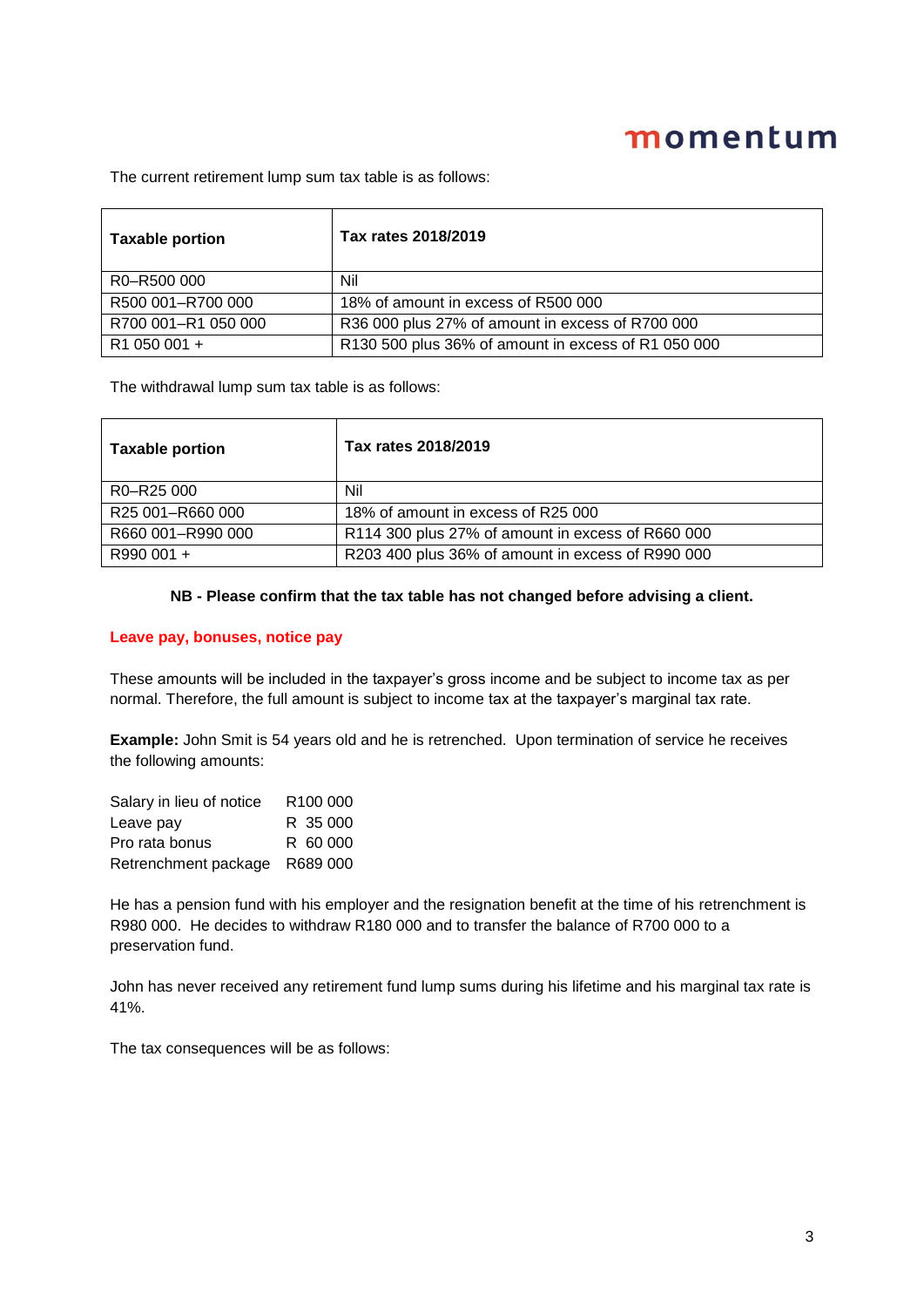The current retirement lump sum tax table is as follows:

| <b>Taxable portion</b> | Tax rates 2018/2019                                 |
|------------------------|-----------------------------------------------------|
| R0-R500 000            | Nil                                                 |
| R500 001-R700 000      | 18% of amount in excess of R500 000                 |
| R700 001-R1 050 000    | R36 000 plus 27% of amount in excess of R700 000    |
| R1 050 001 +           | R130 500 plus 36% of amount in excess of R1 050 000 |

The withdrawal lump sum tax table is as follows:

| <b>Taxable portion</b> | Tax rates 2018/2019                               |
|------------------------|---------------------------------------------------|
| R0-R25 000             | Nil                                               |
| R25 001-R660 000       | 18% of amount in excess of R25 000                |
| R660 001-R990 000      | R114 300 plus 27% of amount in excess of R660 000 |
| R990 001 +             | R203 400 plus 36% of amount in excess of R990 000 |

#### **NB - Please confirm that the tax table has not changed before advising a client.**

### **Leave pay, bonuses, notice pay**

These amounts will be included in the taxpayer's gross income and be subject to income tax as per normal. Therefore, the full amount is subject to income tax at the taxpayer's marginal tax rate.

**Example:** John Smit is 54 years old and he is retrenched. Upon termination of service he receives the following amounts:

| Salary in lieu of notice | R <sub>100</sub> 000 |
|--------------------------|----------------------|
| Leave pay                | R 35 000             |
| Pro rata bonus           | R 60 000             |
| Retrenchment package     | R689 000             |

He has a pension fund with his employer and the resignation benefit at the time of his retrenchment is R980 000. He decides to withdraw R180 000 and to transfer the balance of R700 000 to a preservation fund.

John has never received any retirement fund lump sums during his lifetime and his marginal tax rate is 41%.

The tax consequences will be as follows: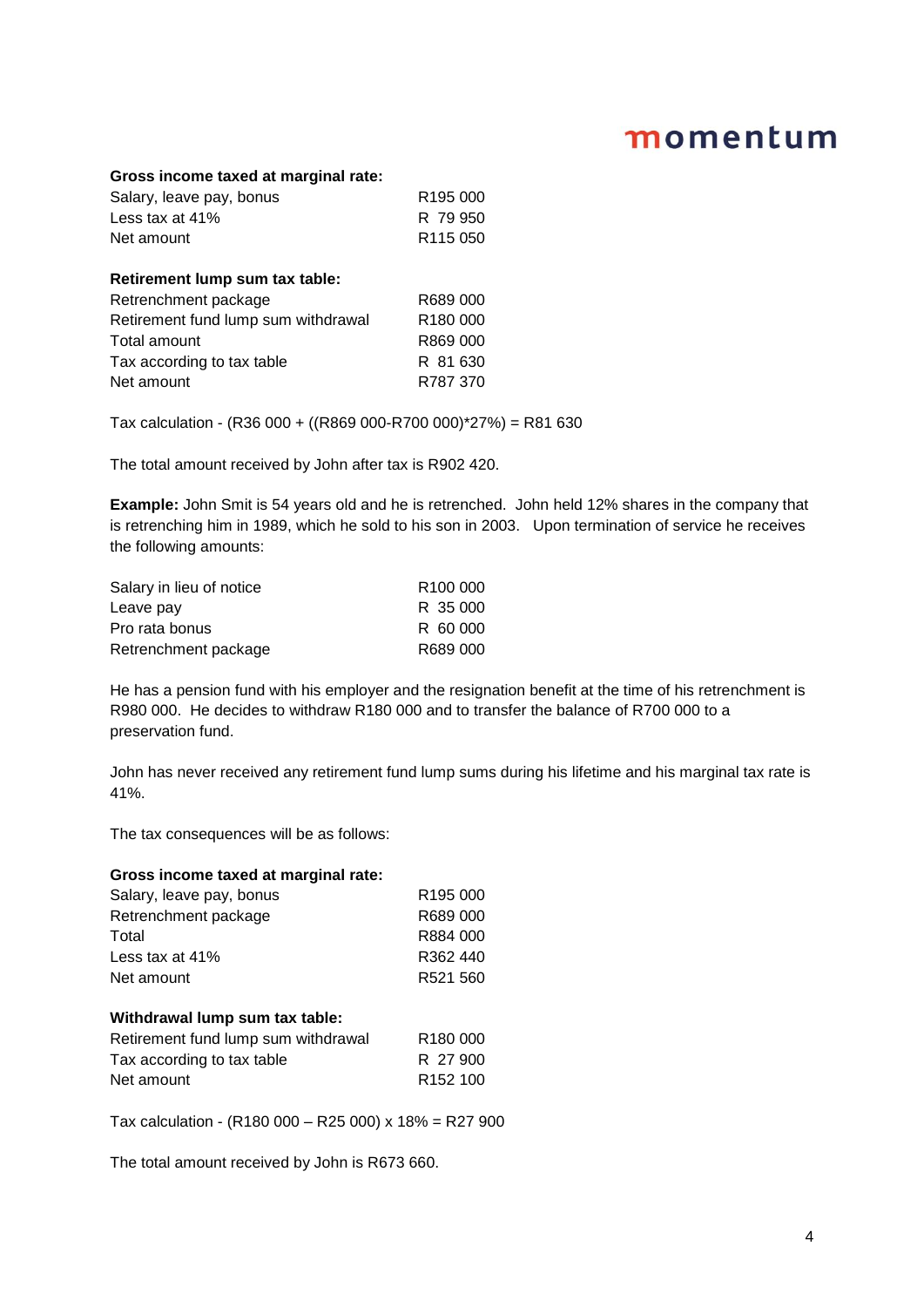#### **Gross income taxed at marginal rate:**

| Salary, leave pay, bonus | R <sub>195</sub> 000 |
|--------------------------|----------------------|
| Less tax at 41%          | R 79.950             |
| Net amount               | R <sub>115</sub> 050 |

## **Retirement lump sum tax table:** Retrenchment package R689 000 Retirement fund lump sum withdrawal R180 000 Total amount **R869 000** Tax according to tax table R 81 630 Net amount R787 370

Tax calculation - (R36 000 + ((R869 000-R700 000)\*27%) = R81 630

The total amount received by John after tax is R902 420.

**Example:** John Smit is 54 years old and he is retrenched. John held 12% shares in the company that is retrenching him in 1989, which he sold to his son in 2003. Upon termination of service he receives the following amounts:

| Salary in lieu of notice | R <sub>100</sub> 000 |
|--------------------------|----------------------|
| Leave pay                | R 35 000             |
| Pro rata bonus           | R 60 000             |
| Retrenchment package     | R689 000             |

He has a pension fund with his employer and the resignation benefit at the time of his retrenchment is R980 000. He decides to withdraw R180 000 and to transfer the balance of R700 000 to a preservation fund.

John has never received any retirement fund lump sums during his lifetime and his marginal tax rate is 41%.

The tax consequences will be as follows:

#### **Gross income taxed at marginal rate:**

| Salary, leave pay, bonus | R <sub>195</sub> 000 |
|--------------------------|----------------------|
| Retrenchment package     | R689 000             |
| Total                    | R884 000             |
| Less tax at 41%          | R362 440             |
| Net amount               | R521 560             |
|                          |                      |

#### **Withdrawal lump sum tax table:**

| Retirement fund lump sum withdrawal | R <sub>180</sub> 000 |
|-------------------------------------|----------------------|
| Tax according to tax table          | R 27 900             |
| Net amount                          | R <sub>152</sub> 100 |

Tax calculation - (R180 000 – R25 000) x 18% = R27 900

The total amount received by John is R673 660.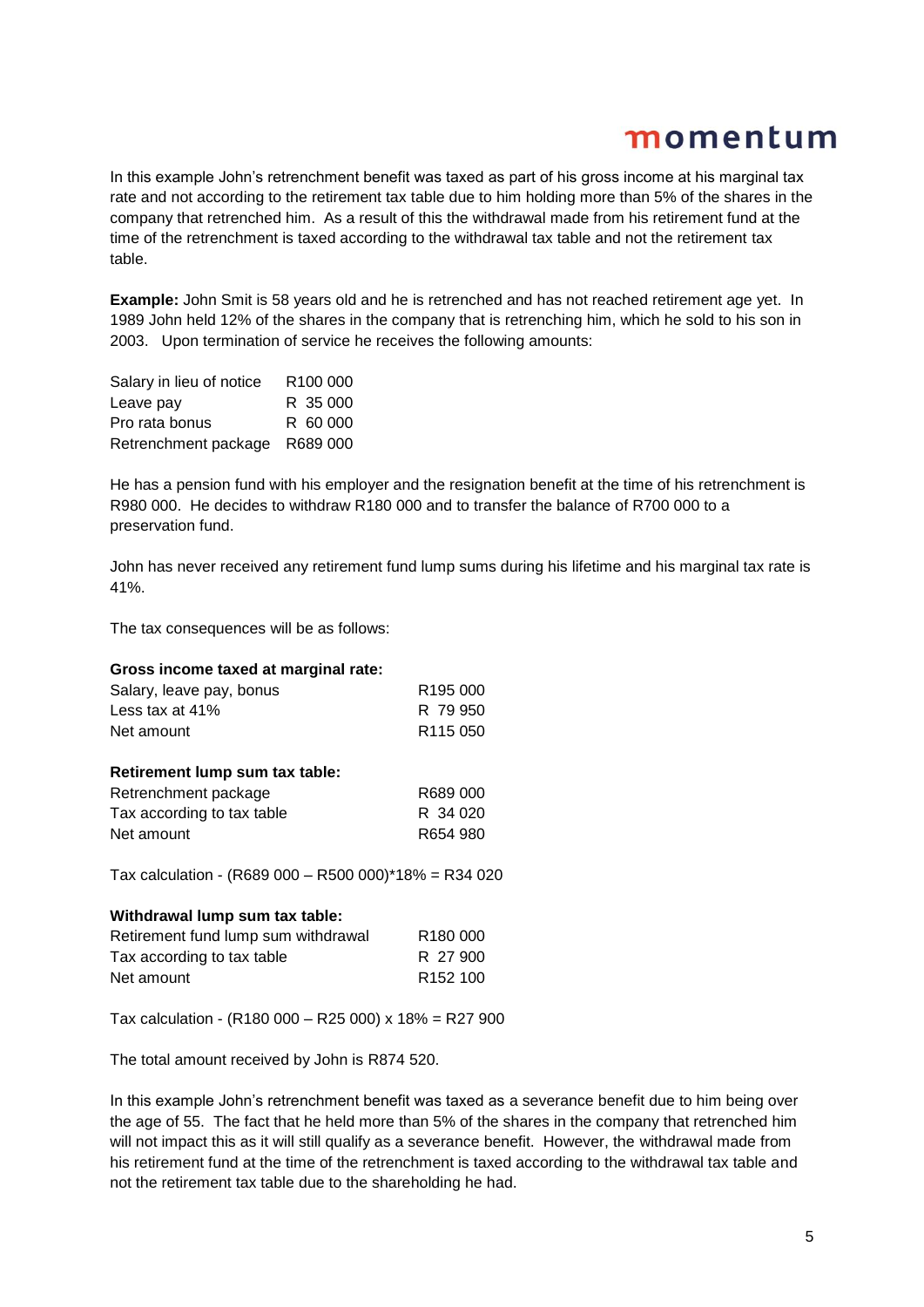In this example John's retrenchment benefit was taxed as part of his gross income at his marginal tax rate and not according to the retirement tax table due to him holding more than 5% of the shares in the company that retrenched him. As a result of this the withdrawal made from his retirement fund at the time of the retrenchment is taxed according to the withdrawal tax table and not the retirement tax table.

**Example:** John Smit is 58 years old and he is retrenched and has not reached retirement age yet. In 1989 John held 12% of the shares in the company that is retrenching him, which he sold to his son in 2003. Upon termination of service he receives the following amounts:

| Salary in lieu of notice | R <sub>100</sub> 000 |
|--------------------------|----------------------|
| Leave pay                | R 35 000             |
| Pro rata bonus           | R 60 000             |
| Retrenchment package     | R689 000             |

He has a pension fund with his employer and the resignation benefit at the time of his retrenchment is R980 000. He decides to withdraw R180 000 and to transfer the balance of R700 000 to a preservation fund.

John has never received any retirement fund lump sums during his lifetime and his marginal tax rate is 41%.

The tax consequences will be as follows:

#### **Gross income taxed at marginal rate:**

| Salary, leave pay, bonus | R <sub>195</sub> 000 |
|--------------------------|----------------------|
| Less tax at $41\%$       | R 79 950             |
| Net amount               | R <sub>115</sub> 050 |

#### **Retirement lump sum tax table:**

| Retrenchment package       | R689 000 |
|----------------------------|----------|
| Tax according to tax table | R 34 020 |
| Net amount                 | R654 980 |

Tax calculation - (R689 000 – R500 000)\*18% = R34 020

#### **Withdrawal lump sum tax table:**

| Retirement fund lump sum withdrawal | R <sub>180</sub> 000 |
|-------------------------------------|----------------------|
| Tax according to tax table          | R 27 900             |
| Net amount                          | R <sub>152</sub> 100 |

Tax calculation - (R180 000 – R25 000) x 18% = R27 900

The total amount received by John is R874 520.

In this example John's retrenchment benefit was taxed as a severance benefit due to him being over the age of 55. The fact that he held more than 5% of the shares in the company that retrenched him will not impact this as it will still qualify as a severance benefit. However, the withdrawal made from his retirement fund at the time of the retrenchment is taxed according to the withdrawal tax table and not the retirement tax table due to the shareholding he had.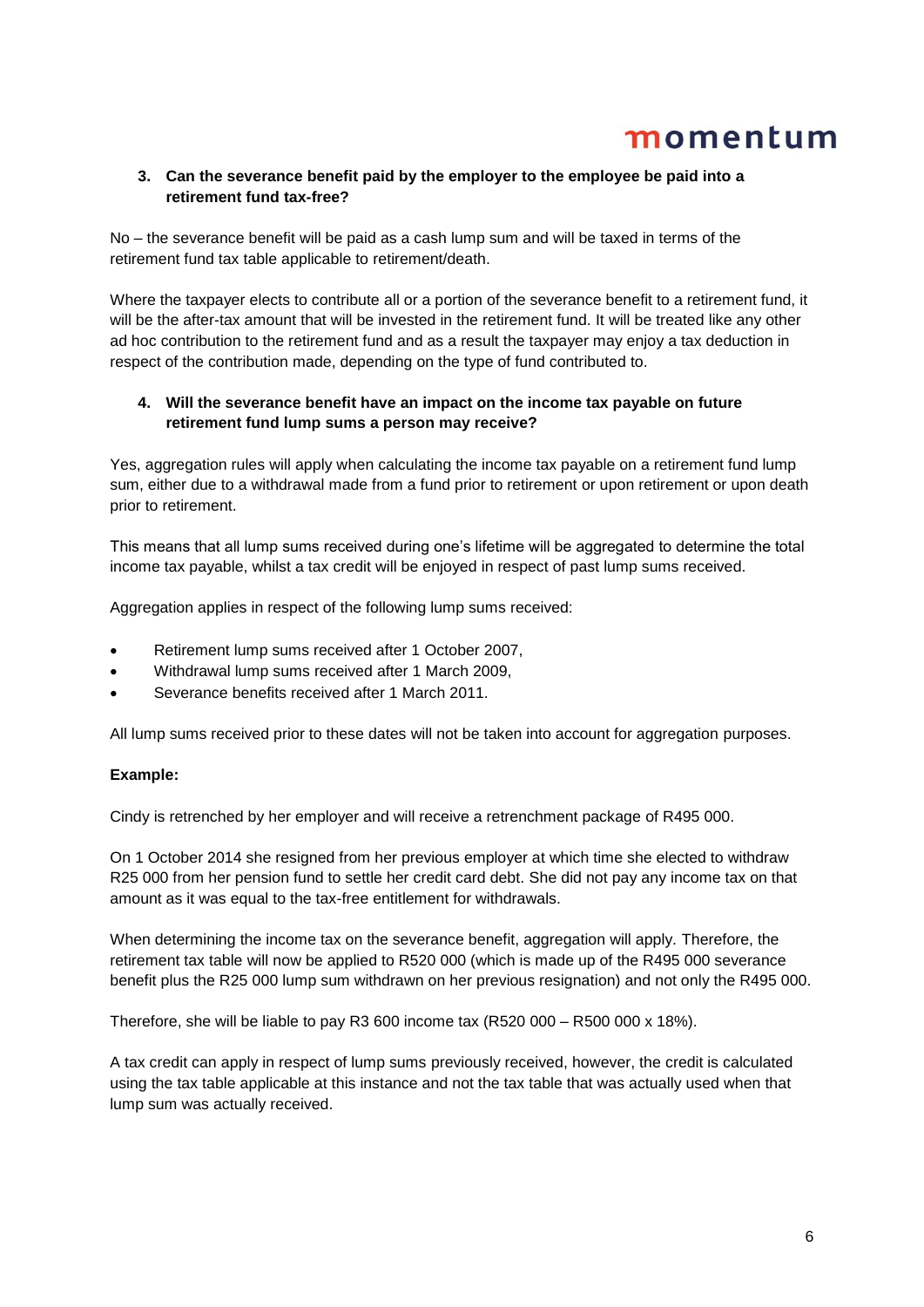## **3. Can the severance benefit paid by the employer to the employee be paid into a retirement fund tax-free?**

No – the severance benefit will be paid as a cash lump sum and will be taxed in terms of the retirement fund tax table applicable to retirement/death.

Where the taxpayer elects to contribute all or a portion of the severance benefit to a retirement fund, it will be the after-tax amount that will be invested in the retirement fund. It will be treated like any other ad hoc contribution to the retirement fund and as a result the taxpayer may enjoy a tax deduction in respect of the contribution made, depending on the type of fund contributed to.

## **4. Will the severance benefit have an impact on the income tax payable on future retirement fund lump sums a person may receive?**

Yes, aggregation rules will apply when calculating the income tax payable on a retirement fund lump sum, either due to a withdrawal made from a fund prior to retirement or upon retirement or upon death prior to retirement.

This means that all lump sums received during one's lifetime will be aggregated to determine the total income tax payable, whilst a tax credit will be enjoyed in respect of past lump sums received.

Aggregation applies in respect of the following lump sums received:

- Retirement lump sums received after 1 October 2007,
- Withdrawal lump sums received after 1 March 2009,
- Severance benefits received after 1 March 2011.

All lump sums received prior to these dates will not be taken into account for aggregation purposes.

### **Example:**

Cindy is retrenched by her employer and will receive a retrenchment package of R495 000.

On 1 October 2014 she resigned from her previous employer at which time she elected to withdraw R25 000 from her pension fund to settle her credit card debt. She did not pay any income tax on that amount as it was equal to the tax-free entitlement for withdrawals.

When determining the income tax on the severance benefit, aggregation will apply. Therefore, the retirement tax table will now be applied to R520 000 (which is made up of the R495 000 severance benefit plus the R25 000 lump sum withdrawn on her previous resignation) and not only the R495 000.

Therefore, she will be liable to pay R3 600 income tax (R520 000 – R500 000 x 18%).

A tax credit can apply in respect of lump sums previously received, however, the credit is calculated using the tax table applicable at this instance and not the tax table that was actually used when that lump sum was actually received.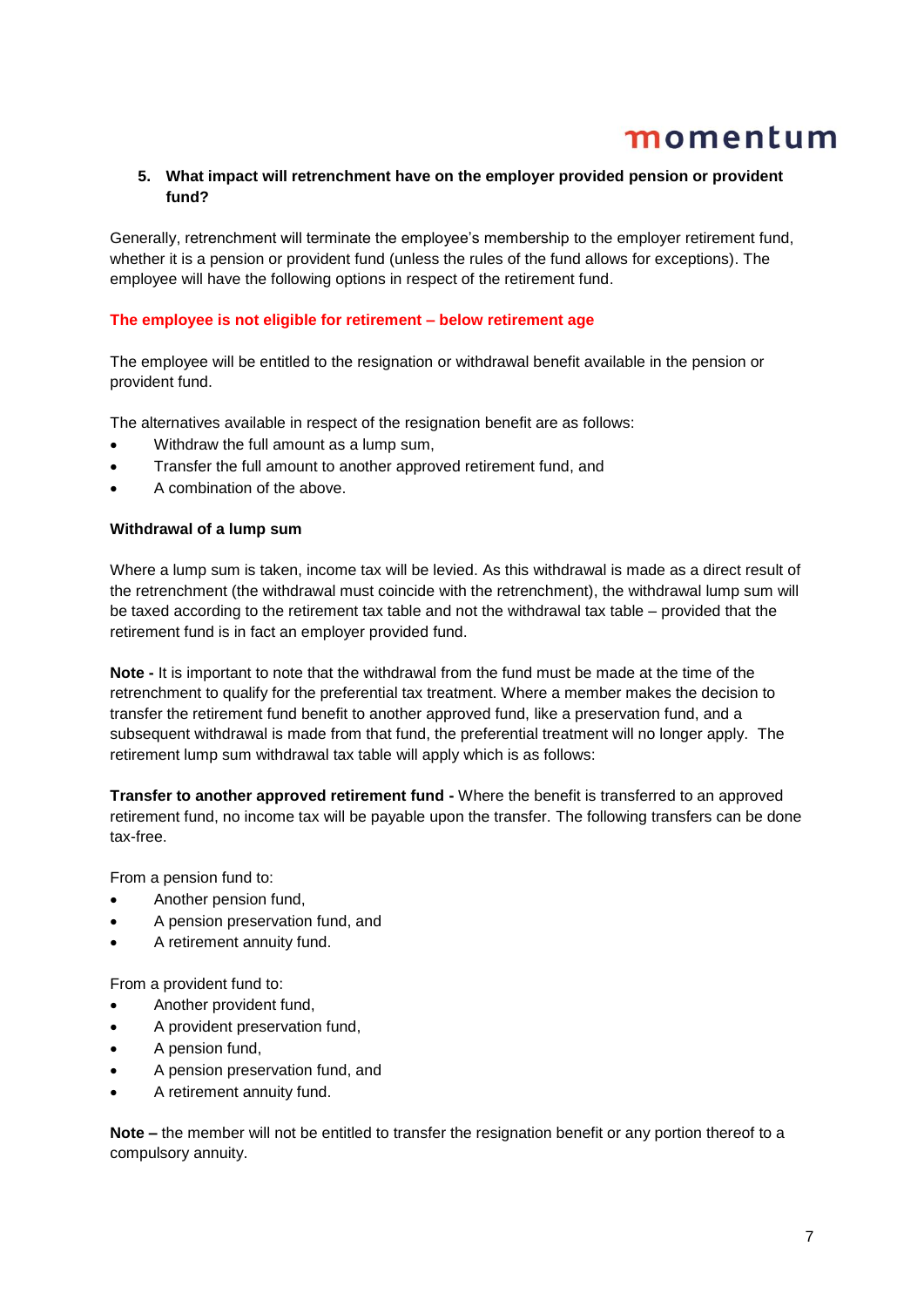### **5. What impact will retrenchment have on the employer provided pension or provident fund?**

Generally, retrenchment will terminate the employee's membership to the employer retirement fund, whether it is a pension or provident fund (unless the rules of the fund allows for exceptions). The employee will have the following options in respect of the retirement fund.

#### **The employee is not eligible for retirement – below retirement age**

The employee will be entitled to the resignation or withdrawal benefit available in the pension or provident fund.

The alternatives available in respect of the resignation benefit are as follows:

- Withdraw the full amount as a lump sum,
- Transfer the full amount to another approved retirement fund, and
- A combination of the above.

#### **Withdrawal of a lump sum**

Where a lump sum is taken, income tax will be levied. As this withdrawal is made as a direct result of the retrenchment (the withdrawal must coincide with the retrenchment), the withdrawal lump sum will be taxed according to the retirement tax table and not the withdrawal tax table – provided that the retirement fund is in fact an employer provided fund.

**Note -** It is important to note that the withdrawal from the fund must be made at the time of the retrenchment to qualify for the preferential tax treatment. Where a member makes the decision to transfer the retirement fund benefit to another approved fund, like a preservation fund, and a subsequent withdrawal is made from that fund, the preferential treatment will no longer apply. The retirement lump sum withdrawal tax table will apply which is as follows:

**Transfer to another approved retirement fund -** Where the benefit is transferred to an approved retirement fund, no income tax will be payable upon the transfer. The following transfers can be done tax-free.

From a pension fund to:

- Another pension fund,
- A pension preservation fund, and
- A retirement annuity fund.

From a provident fund to:

- Another provident fund,
- A provident preservation fund,
- A pension fund,
- A pension preservation fund, and
- A retirement annuity fund.

**Note –** the member will not be entitled to transfer the resignation benefit or any portion thereof to a compulsory annuity.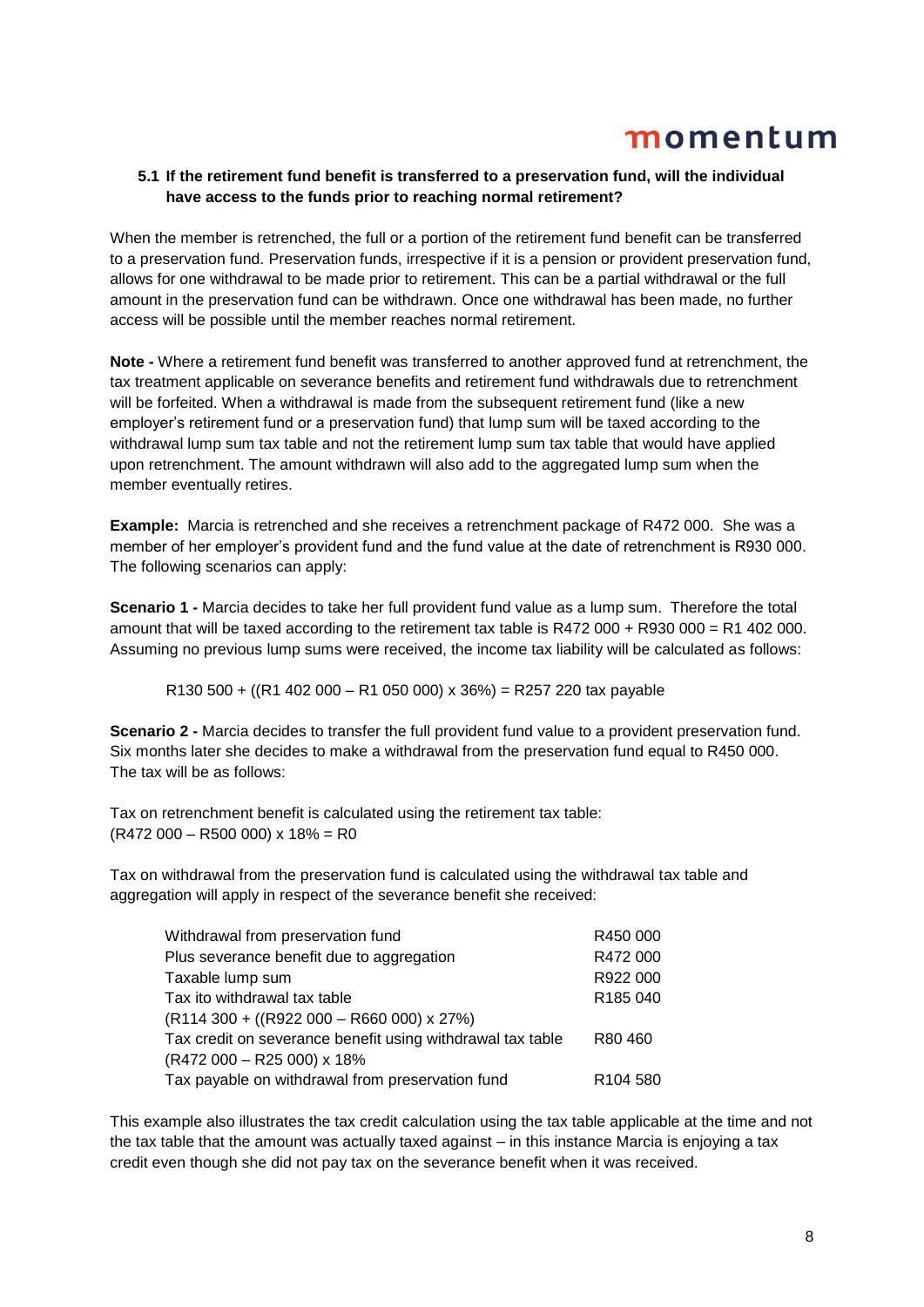## **5.1 If the retirement fund benefit is transferred to a preservation fund, will the individual have access to the funds prior to reaching normal retirement?**

When the member is retrenched, the full or a portion of the retirement fund benefit can be transferred to a preservation fund. Preservation funds, irrespective if it is a pension or provident preservation fund, allows for one withdrawal to be made prior to retirement. This can be a partial withdrawal or the full amount in the preservation fund can be withdrawn. Once one withdrawal has been made, no further access will be possible until the member reaches normal retirement.

**Note -** Where a retirement fund benefit was transferred to another approved fund at retrenchment, the tax treatment applicable on severance benefits and retirement fund withdrawals due to retrenchment will be forfeited. When a withdrawal is made from the subsequent retirement fund (like a new employer's retirement fund or a preservation fund) that lump sum will be taxed according to the withdrawal lump sum tax table and not the retirement lump sum tax table that would have applied upon retrenchment. The amount withdrawn will also add to the aggregated lump sum when the member eventually retires.

**Example:** Marcia is retrenched and she receives a retrenchment package of R472 000. She was a member of her employer's provident fund and the fund value at the date of retrenchment is R930 000. The following scenarios can apply:

**Scenario 1 -** Marcia decides to take her full provident fund value as a lump sum. Therefore the total amount that will be taxed according to the retirement tax table is R472 000 + R930 000 = R1 402 000. Assuming no previous lump sums were received, the income tax liability will be calculated as follows:

R130 500 + ((R1 402 000 – R1 050 000) x 36%) = R257 220 tax payable

**Scenario 2 -** Marcia decides to transfer the full provident fund value to a provident preservation fund. Six months later she decides to make a withdrawal from the preservation fund equal to R450 000. The tax will be as follows:

Tax on retrenchment benefit is calculated using the retirement tax table:  $(R472 000 - R500 000)$  x 18% = R0

Tax on withdrawal from the preservation fund is calculated using the withdrawal tax table and aggregation will apply in respect of the severance benefit she received:

| Withdrawal from preservation fund                          | R450 000             |
|------------------------------------------------------------|----------------------|
| Plus severance benefit due to aggregation                  | R472 000             |
| Taxable lump sum                                           | R922 000             |
| Tax ito withdrawal tax table                               | R185 040             |
| $(R114300 + ((R922000 - R660000) \times 27%)$              |                      |
| Tax credit on severance benefit using withdrawal tax table | R80460               |
| (R472 000 - R25 000) x 18%                                 |                      |
| Tax payable on withdrawal from preservation fund           | R <sub>104</sub> 580 |

This example also illustrates the tax credit calculation using the tax table applicable at the time and not the tax table that the amount was actually taxed against – in this instance Marcia is enjoying a tax credit even though she did not pay tax on the severance benefit when it was received.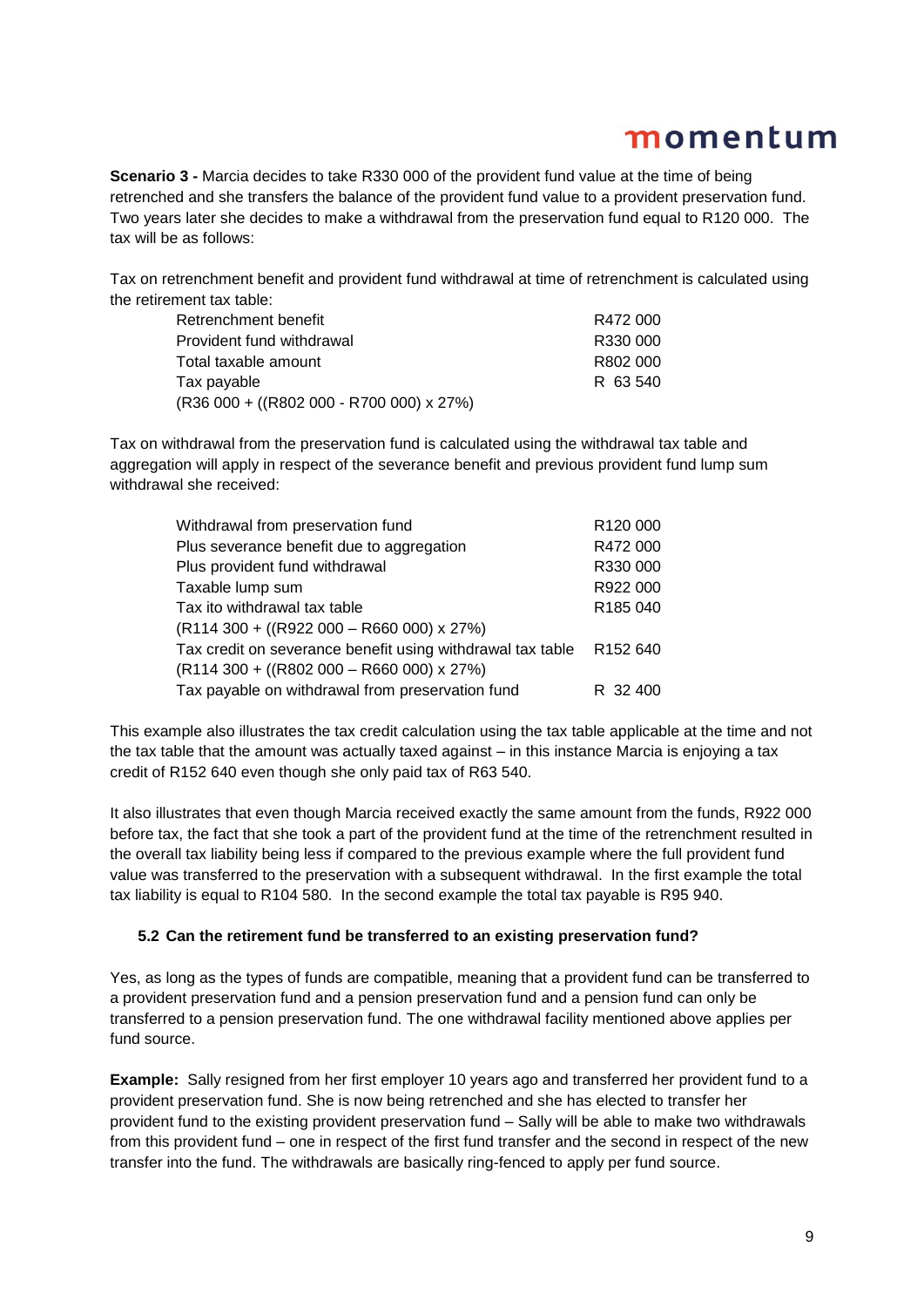**Scenario 3 -** Marcia decides to take R330 000 of the provident fund value at the time of being retrenched and she transfers the balance of the provident fund value to a provident preservation fund. Two years later she decides to make a withdrawal from the preservation fund equal to R120 000. The tax will be as follows:

Tax on retrenchment benefit and provident fund withdrawal at time of retrenchment is calculated using the retirement tax table:

| Retrenchment benefit                       | R472 000 |
|--------------------------------------------|----------|
| Provident fund withdrawal                  | R330 000 |
| Total taxable amount                       | R802 000 |
| Tax payable                                | R 63540  |
| $(R36 000 + ((R802 000 - R700 000) x 27%)$ |          |

Tax on withdrawal from the preservation fund is calculated using the withdrawal tax table and aggregation will apply in respect of the severance benefit and previous provident fund lump sum withdrawal she received:

| Withdrawal from preservation fund                          | R120 000             |
|------------------------------------------------------------|----------------------|
| Plus severance benefit due to aggregation                  | R472 000             |
| Plus provident fund withdrawal                             | R330 000             |
| Taxable lump sum                                           | R922 000             |
| Tax ito withdrawal tax table                               | R185 040             |
| $(R114 300 + ((R922 000 - R660 000) x 27%)$                |                      |
| Tax credit on severance benefit using withdrawal tax table | R <sub>152</sub> 640 |
| $(R114 300 + ((R802 000 - R660 000) x 27%)$                |                      |
| Tax payable on withdrawal from preservation fund           | R 32 400             |

This example also illustrates the tax credit calculation using the tax table applicable at the time and not the tax table that the amount was actually taxed against – in this instance Marcia is enjoying a tax credit of R152 640 even though she only paid tax of R63 540.

It also illustrates that even though Marcia received exactly the same amount from the funds, R922 000 before tax, the fact that she took a part of the provident fund at the time of the retrenchment resulted in the overall tax liability being less if compared to the previous example where the full provident fund value was transferred to the preservation with a subsequent withdrawal. In the first example the total tax liability is equal to R104 580. In the second example the total tax payable is R95 940.

### **5.2 Can the retirement fund be transferred to an existing preservation fund?**

Yes, as long as the types of funds are compatible, meaning that a provident fund can be transferred to a provident preservation fund and a pension preservation fund and a pension fund can only be transferred to a pension preservation fund. The one withdrawal facility mentioned above applies per fund source.

**Example:** Sally resigned from her first employer 10 years ago and transferred her provident fund to a provident preservation fund. She is now being retrenched and she has elected to transfer her provident fund to the existing provident preservation fund – Sally will be able to make two withdrawals from this provident fund – one in respect of the first fund transfer and the second in respect of the new transfer into the fund. The withdrawals are basically ring-fenced to apply per fund source.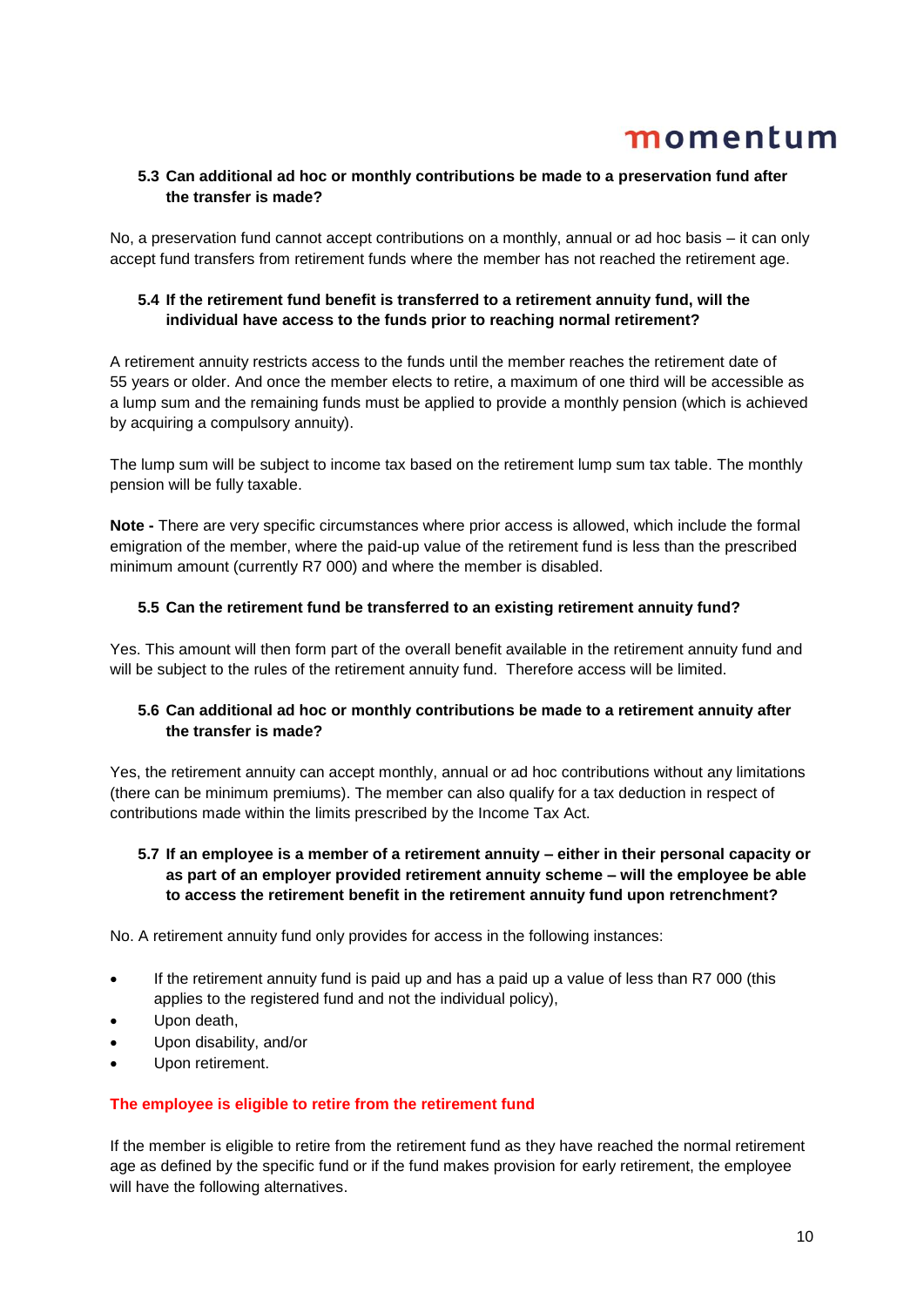## **5.3 Can additional ad hoc or monthly contributions be made to a preservation fund after the transfer is made?**

No, a preservation fund cannot accept contributions on a monthly, annual or ad hoc basis – it can only accept fund transfers from retirement funds where the member has not reached the retirement age.

## **5.4 If the retirement fund benefit is transferred to a retirement annuity fund, will the individual have access to the funds prior to reaching normal retirement?**

A retirement annuity restricts access to the funds until the member reaches the retirement date of 55 years or older. And once the member elects to retire, a maximum of one third will be accessible as a lump sum and the remaining funds must be applied to provide a monthly pension (which is achieved by acquiring a compulsory annuity).

The lump sum will be subject to income tax based on the retirement lump sum tax table. The monthly pension will be fully taxable.

**Note -** There are very specific circumstances where prior access is allowed, which include the formal emigration of the member, where the paid-up value of the retirement fund is less than the prescribed minimum amount (currently R7 000) and where the member is disabled.

### **5.5 Can the retirement fund be transferred to an existing retirement annuity fund?**

Yes. This amount will then form part of the overall benefit available in the retirement annuity fund and will be subject to the rules of the retirement annuity fund. Therefore access will be limited.

## **5.6 Can additional ad hoc or monthly contributions be made to a retirement annuity after the transfer is made?**

Yes, the retirement annuity can accept monthly, annual or ad hoc contributions without any limitations (there can be minimum premiums). The member can also qualify for a tax deduction in respect of contributions made within the limits prescribed by the Income Tax Act.

## **5.7 If an employee is a member of a retirement annuity – either in their personal capacity or as part of an employer provided retirement annuity scheme – will the employee be able to access the retirement benefit in the retirement annuity fund upon retrenchment?**

No. A retirement annuity fund only provides for access in the following instances:

- If the retirement annuity fund is paid up and has a paid up a value of less than R7 000 (this applies to the registered fund and not the individual policy),
- Upon death,
- Upon disability, and/or
- Upon retirement.

### **The employee is eligible to retire from the retirement fund**

If the member is eligible to retire from the retirement fund as they have reached the normal retirement age as defined by the specific fund or if the fund makes provision for early retirement, the employee will have the following alternatives.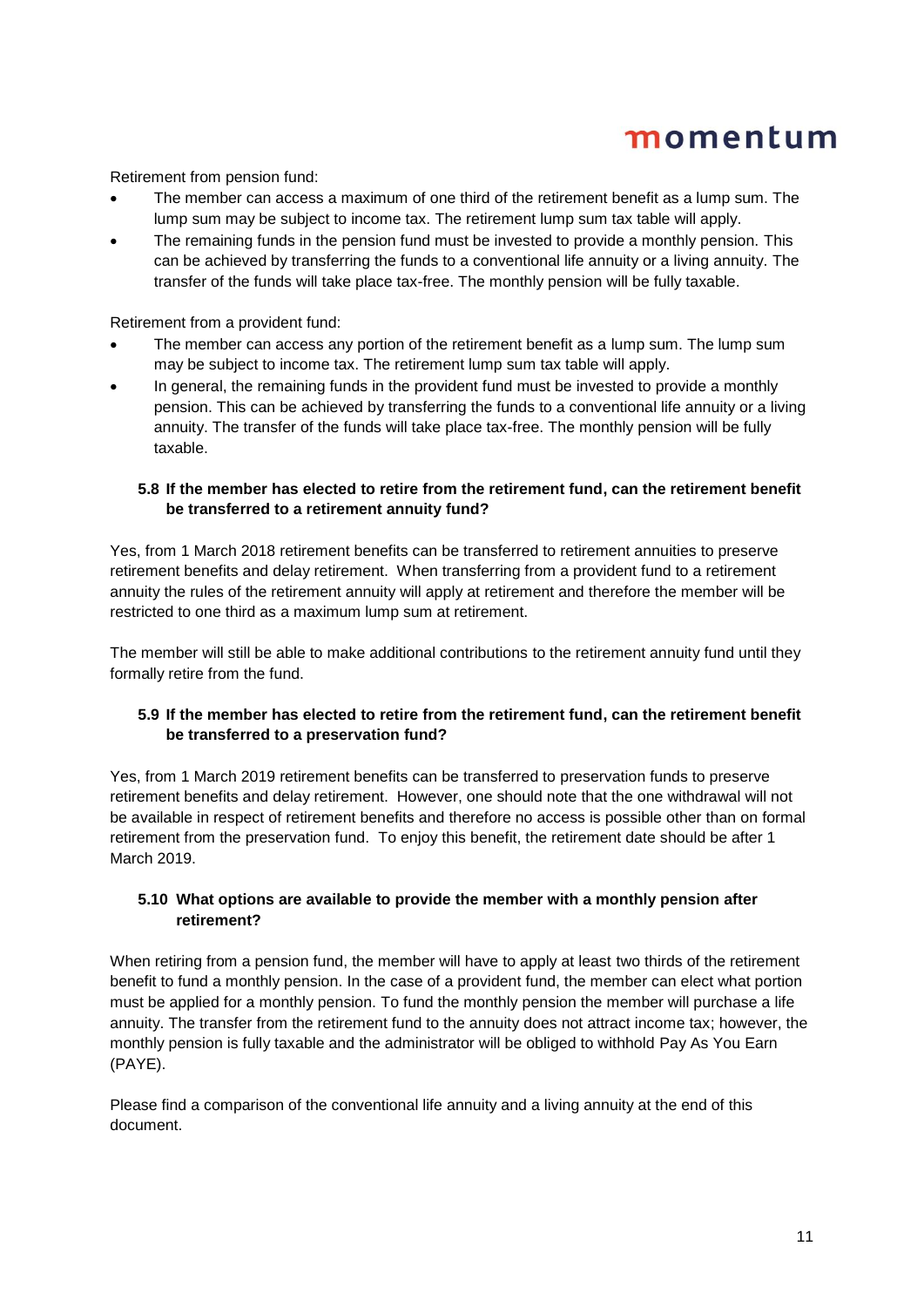Retirement from pension fund:

- The member can access a maximum of one third of the retirement benefit as a lump sum. The lump sum may be subject to income tax. The retirement lump sum tax table will apply.
- The remaining funds in the pension fund must be invested to provide a monthly pension. This can be achieved by transferring the funds to a conventional life annuity or a living annuity. The transfer of the funds will take place tax-free. The monthly pension will be fully taxable.

Retirement from a provident fund:

- The member can access any portion of the retirement benefit as a lump sum. The lump sum may be subject to income tax. The retirement lump sum tax table will apply.
- In general, the remaining funds in the provident fund must be invested to provide a monthly pension. This can be achieved by transferring the funds to a conventional life annuity or a living annuity. The transfer of the funds will take place tax-free. The monthly pension will be fully taxable.

### **5.8 If the member has elected to retire from the retirement fund, can the retirement benefit be transferred to a retirement annuity fund?**

Yes, from 1 March 2018 retirement benefits can be transferred to retirement annuities to preserve retirement benefits and delay retirement. When transferring from a provident fund to a retirement annuity the rules of the retirement annuity will apply at retirement and therefore the member will be restricted to one third as a maximum lump sum at retirement.

The member will still be able to make additional contributions to the retirement annuity fund until they formally retire from the fund.

## **5.9 If the member has elected to retire from the retirement fund, can the retirement benefit be transferred to a preservation fund?**

Yes, from 1 March 2019 retirement benefits can be transferred to preservation funds to preserve retirement benefits and delay retirement. However, one should note that the one withdrawal will not be available in respect of retirement benefits and therefore no access is possible other than on formal retirement from the preservation fund. To enjoy this benefit, the retirement date should be after 1 March 2019.

## **5.10 What options are available to provide the member with a monthly pension after retirement?**

When retiring from a pension fund, the member will have to apply at least two thirds of the retirement benefit to fund a monthly pension. In the case of a provident fund, the member can elect what portion must be applied for a monthly pension. To fund the monthly pension the member will purchase a life annuity. The transfer from the retirement fund to the annuity does not attract income tax; however, the monthly pension is fully taxable and the administrator will be obliged to withhold Pay As You Earn (PAYE).

Please find a comparison of the conventional life annuity and a living annuity at the end of this document.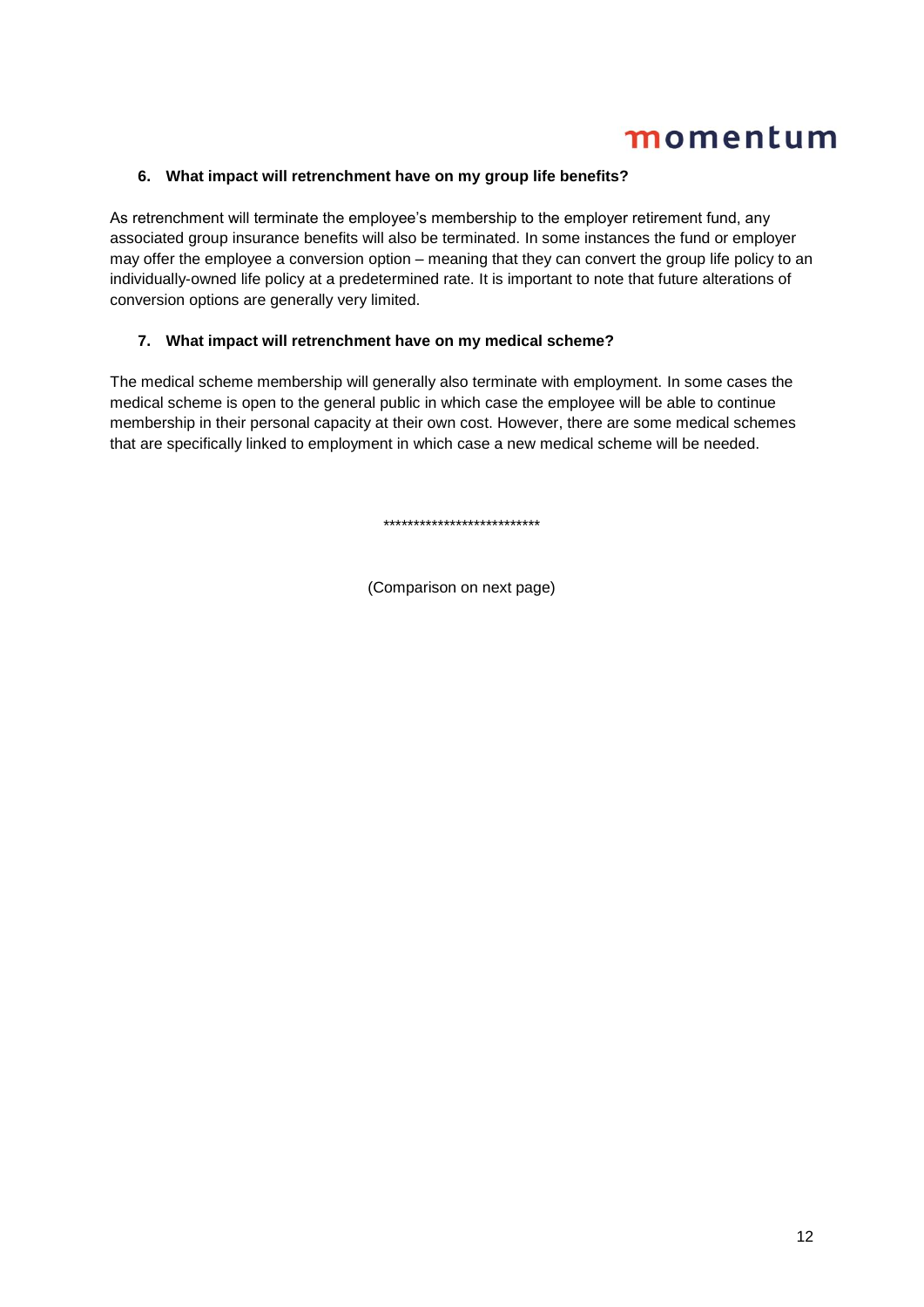## **6. What impact will retrenchment have on my group life benefits?**

As retrenchment will terminate the employee's membership to the employer retirement fund, any associated group insurance benefits will also be terminated. In some instances the fund or employer may offer the employee a conversion option – meaning that they can convert the group life policy to an individually-owned life policy at a predetermined rate. It is important to note that future alterations of conversion options are generally very limited.

## **7. What impact will retrenchment have on my medical scheme?**

The medical scheme membership will generally also terminate with employment. In some cases the medical scheme is open to the general public in which case the employee will be able to continue membership in their personal capacity at their own cost. However, there are some medical schemes that are specifically linked to employment in which case a new medical scheme will be needed.

\*\*\*\*\*\*\*\*\*\*\*\*\*\*\*\*\*\*\*\*\*\*\*\*\*\*

(Comparison on next page)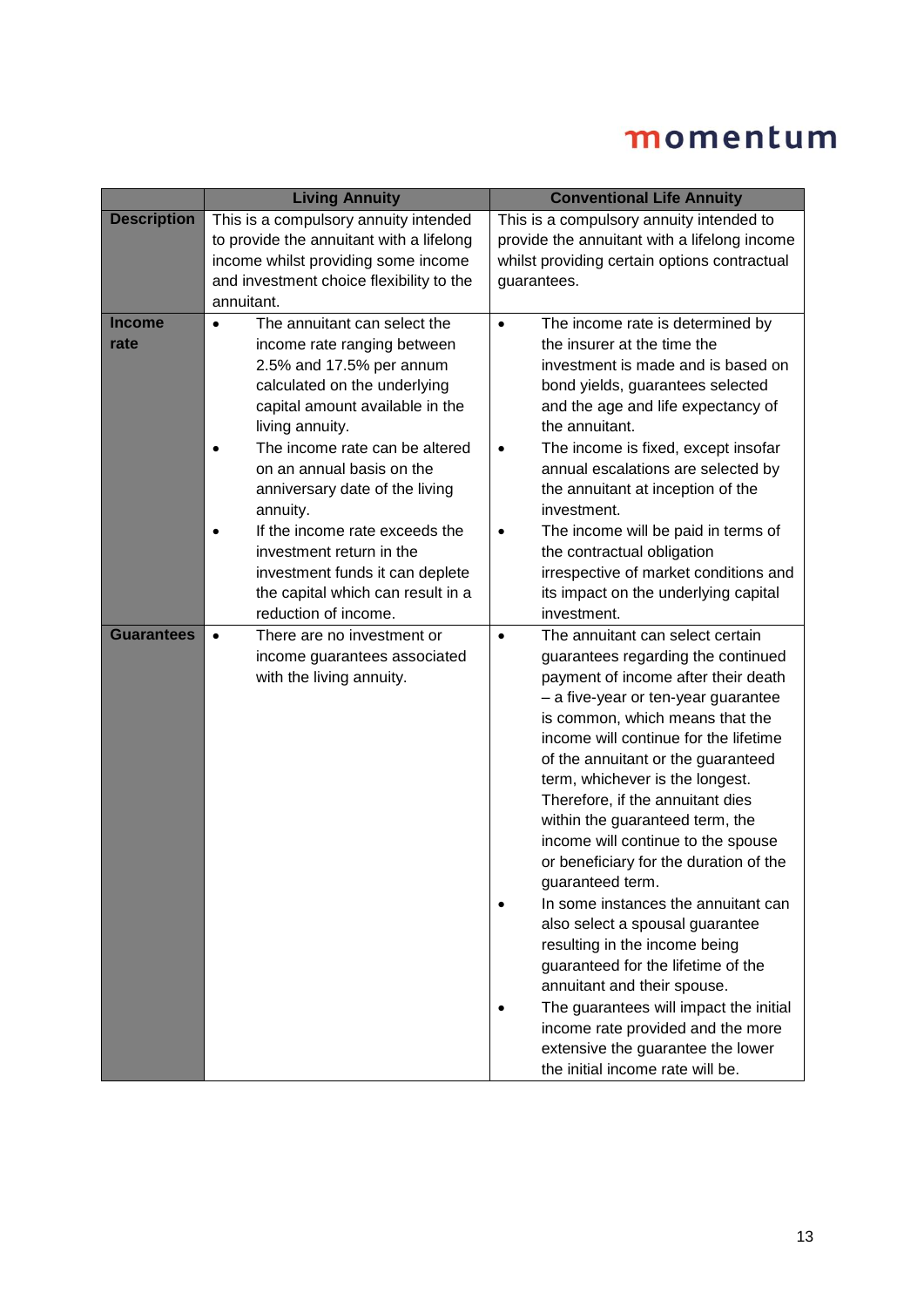|                       | <b>Living Annuity</b>                                                                                                                                                                                                                                                                                                                                                                                                                                                 | <b>Conventional Life Annuity</b>                                                                                                                                                                                                                                                                                                                                                                                                                                                                                                                                                                                                                                                                                                                                                                                                                       |
|-----------------------|-----------------------------------------------------------------------------------------------------------------------------------------------------------------------------------------------------------------------------------------------------------------------------------------------------------------------------------------------------------------------------------------------------------------------------------------------------------------------|--------------------------------------------------------------------------------------------------------------------------------------------------------------------------------------------------------------------------------------------------------------------------------------------------------------------------------------------------------------------------------------------------------------------------------------------------------------------------------------------------------------------------------------------------------------------------------------------------------------------------------------------------------------------------------------------------------------------------------------------------------------------------------------------------------------------------------------------------------|
| <b>Description</b>    | This is a compulsory annuity intended<br>to provide the annuitant with a lifelong<br>income whilst providing some income<br>and investment choice flexibility to the<br>annuitant.                                                                                                                                                                                                                                                                                    | This is a compulsory annuity intended to<br>provide the annuitant with a lifelong income<br>whilst providing certain options contractual<br>guarantees.                                                                                                                                                                                                                                                                                                                                                                                                                                                                                                                                                                                                                                                                                                |
| <b>Income</b><br>rate | The annuitant can select the<br>$\bullet$<br>income rate ranging between<br>2.5% and 17.5% per annum<br>calculated on the underlying<br>capital amount available in the<br>living annuity.<br>The income rate can be altered<br>on an annual basis on the<br>anniversary date of the living<br>annuity.<br>If the income rate exceeds the<br>investment return in the<br>investment funds it can deplete<br>the capital which can result in a<br>reduction of income. | The income rate is determined by<br>$\bullet$<br>the insurer at the time the<br>investment is made and is based on<br>bond yields, guarantees selected<br>and the age and life expectancy of<br>the annuitant.<br>The income is fixed, except insofar<br>$\bullet$<br>annual escalations are selected by<br>the annuitant at inception of the<br>investment.<br>The income will be paid in terms of<br>$\bullet$<br>the contractual obligation<br>irrespective of market conditions and<br>its impact on the underlying capital<br>investment.                                                                                                                                                                                                                                                                                                         |
| <b>Guarantees</b>     | There are no investment or<br>$\bullet$<br>income guarantees associated<br>with the living annuity.                                                                                                                                                                                                                                                                                                                                                                   | The annuitant can select certain<br>$\bullet$<br>guarantees regarding the continued<br>payment of income after their death<br>- a five-year or ten-year guarantee<br>is common, which means that the<br>income will continue for the lifetime<br>of the annuitant or the guaranteed<br>term, whichever is the longest.<br>Therefore, if the annuitant dies<br>within the guaranteed term, the<br>income will continue to the spouse<br>or beneficiary for the duration of the<br>guaranteed term.<br>In some instances the annuitant can<br>also select a spousal guarantee<br>resulting in the income being<br>guaranteed for the lifetime of the<br>annuitant and their spouse.<br>The guarantees will impact the initial<br>$\bullet$<br>income rate provided and the more<br>extensive the guarantee the lower<br>the initial income rate will be. |